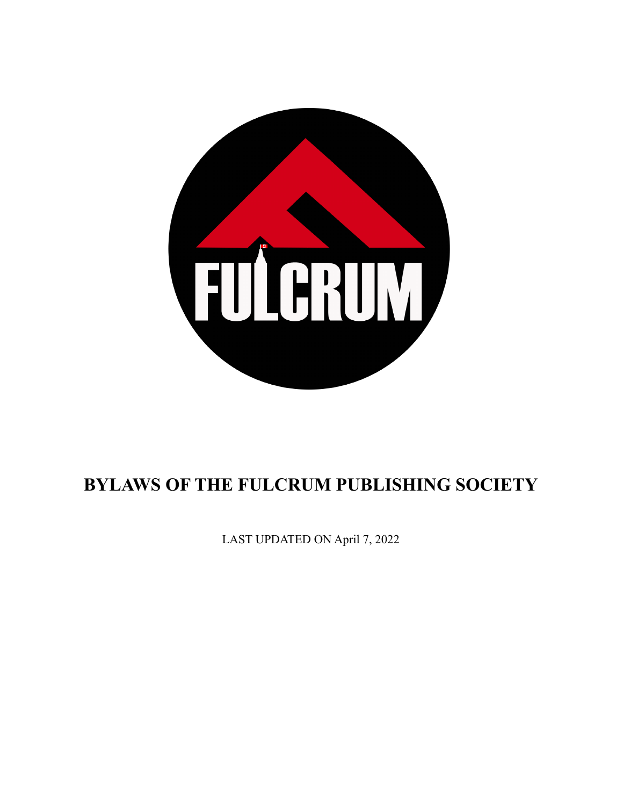

# **BYLAWS OF THE FULCRUM PUBLISHING SOCIETY**

LAST UPDATED ON April 7, 2022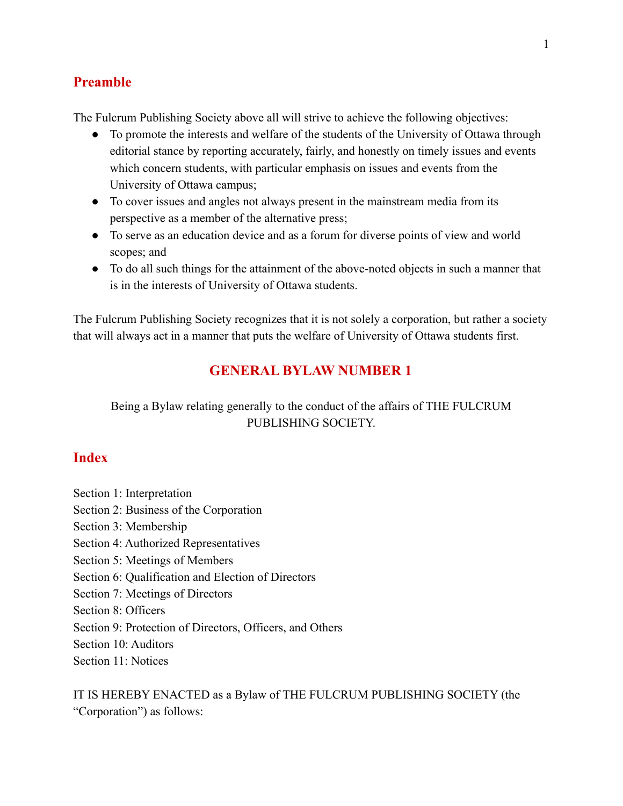### **Preamble**

The Fulcrum Publishing Society above all will strive to achieve the following objectives:

- To promote the interests and welfare of the students of the University of Ottawa through editorial stance by reporting accurately, fairly, and honestly on timely issues and events which concern students, with particular emphasis on issues and events from the University of Ottawa campus;
- To cover issues and angles not always present in the mainstream media from its perspective as a member of the alternative press;
- To serve as an education device and as a forum for diverse points of view and world scopes; and
- To do all such things for the attainment of the above-noted objects in such a manner that is in the interests of University of Ottawa students.

The Fulcrum Publishing Society recognizes that it is not solely a corporation, but rather a society that will always act in a manner that puts the welfare of University of Ottawa students first.

# **GENERAL BYLAW NUMBER 1**

#### Being a Bylaw relating generally to the conduct of the affairs of THE FULCRUM PUBLISHING SOCIETY.

#### **Index**

- Section 1: Interpretation
- Section 2: Business of the Corporation
- Section 3: Membership
- Section 4: Authorized Representatives
- Section 5: Meetings of Members
- Section 6: Qualification and Election of Directors
- Section 7: Meetings of Directors
- Section 8: Officers
- Section 9: Protection of Directors, Officers, and Others
- Section 10: Auditors
- Section 11: Notices

IT IS HEREBY ENACTED as a Bylaw of THE FULCRUM PUBLISHING SOCIETY (the "Corporation") as follows: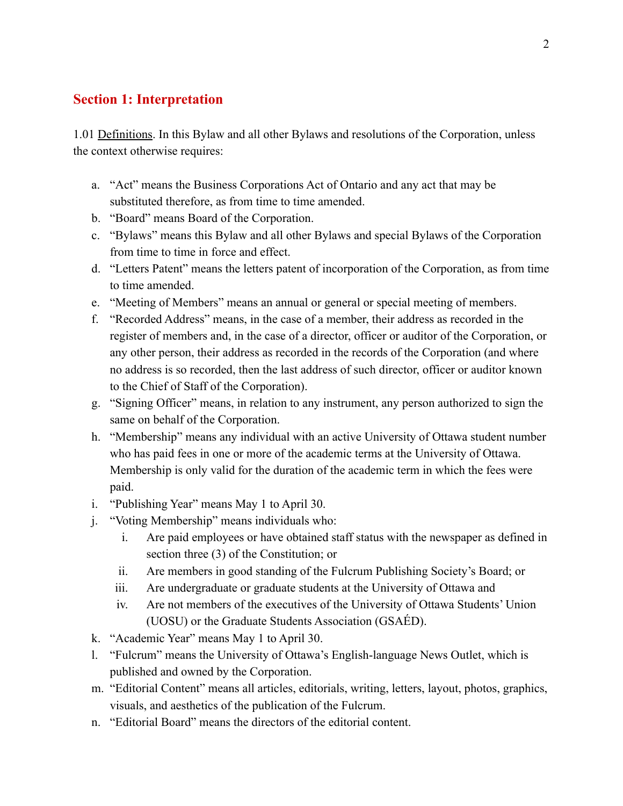### **Section 1: Interpretation**

1.01 Definitions. In this Bylaw and all other Bylaws and resolutions of the Corporation, unless the context otherwise requires:

- a. "Act" means the Business Corporations Act of Ontario and any act that may be substituted therefore, as from time to time amended.
- b. "Board" means Board of the Corporation.
- c. "Bylaws" means this Bylaw and all other Bylaws and special Bylaws of the Corporation from time to time in force and effect.
- d. "Letters Patent" means the letters patent of incorporation of the Corporation, as from time to time amended.
- e. "Meeting of Members" means an annual or general or special meeting of members.
- f. "Recorded Address" means, in the case of a member, their address as recorded in the register of members and, in the case of a director, officer or auditor of the Corporation, or any other person, their address as recorded in the records of the Corporation (and where no address is so recorded, then the last address of such director, officer or auditor known to the Chief of Staff of the Corporation).
- g. "Signing Officer" means, in relation to any instrument, any person authorized to sign the same on behalf of the Corporation.
- h. "Membership" means any individual with an active University of Ottawa student number who has paid fees in one or more of the academic terms at the University of Ottawa. Membership is only valid for the duration of the academic term in which the fees were paid.
- i. "Publishing Year" means May 1 to April 30.
- j. "Voting Membership" means individuals who:
	- i. Are paid employees or have obtained staff status with the newspaper as defined in section three (3) of the Constitution; or
	- ii. Are members in good standing of the Fulcrum Publishing Society's Board; or
	- iii. Are undergraduate or graduate students at the University of Ottawa and
	- iv. Are not members of the executives of the University of Ottawa Students' Union (UOSU) or the Graduate Students Association (GSAÉD).
- k. "Academic Year" means May 1 to April 30.
- l. "Fulcrum" means the University of Ottawa's English-language News Outlet, which is published and owned by the Corporation.
- m. "Editorial Content" means all articles, editorials, writing, letters, layout, photos, graphics, visuals, and aesthetics of the publication of the Fulcrum.
- n. "Editorial Board" means the directors of the editorial content.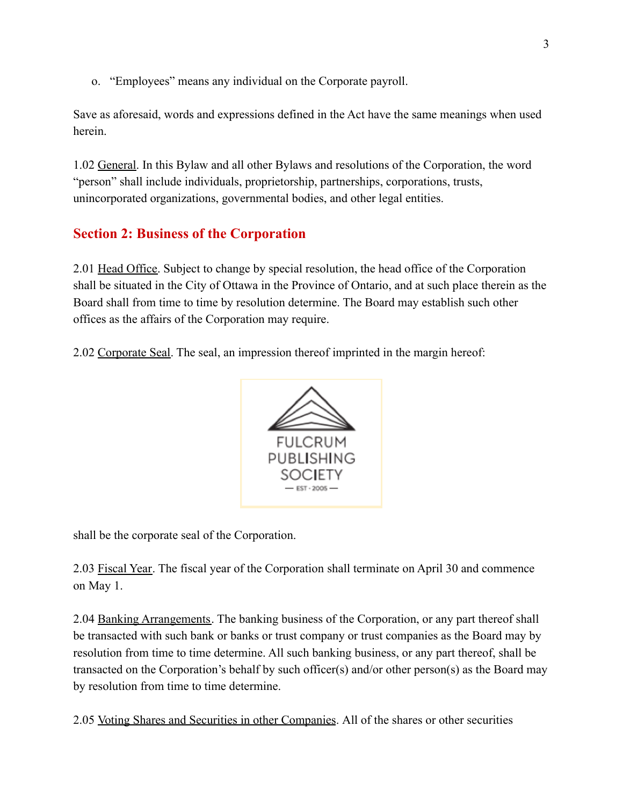o. "Employees" means any individual on the Corporate payroll.

Save as aforesaid, words and expressions defined in the Act have the same meanings when used herein.

1.02 General. In this Bylaw and all other Bylaws and resolutions of the Corporation, the word "person" shall include individuals, proprietorship, partnerships, corporations, trusts, unincorporated organizations, governmental bodies, and other legal entities.

# **Section 2: Business of the Corporation**

2.01 Head Office. Subject to change by special resolution, the head office of the Corporation shall be situated in the City of Ottawa in the Province of Ontario, and at such place therein as the Board shall from time to time by resolution determine. The Board may establish such other offices as the affairs of the Corporation may require.

2.02 Corporate Seal. The seal, an impression thereof imprinted in the margin hereof:



shall be the corporate seal of the Corporation.

2.03 Fiscal Year. The fiscal year of the Corporation shall terminate on April 30 and commence on May 1.

2.04 Banking Arrangements. The banking business of the Corporation, or any part thereof shall be transacted with such bank or banks or trust company or trust companies as the Board may by resolution from time to time determine. All such banking business, or any part thereof, shall be transacted on the Corporation's behalf by such officer(s) and/or other person(s) as the Board may by resolution from time to time determine.

2.05 Voting Shares and Securities in other Companies. All of the shares or other securities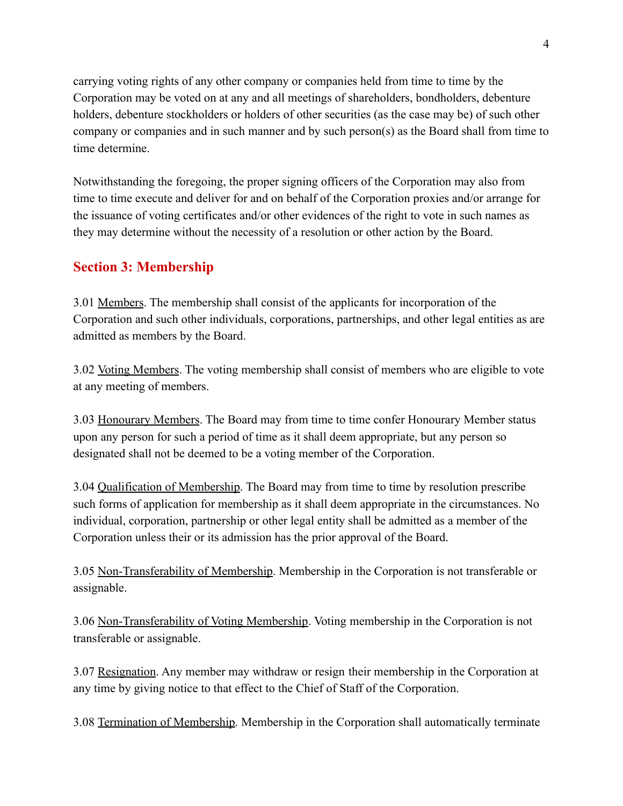carrying voting rights of any other company or companies held from time to time by the Corporation may be voted on at any and all meetings of shareholders, bondholders, debenture holders, debenture stockholders or holders of other securities (as the case may be) of such other company or companies and in such manner and by such person(s) as the Board shall from time to time determine.

Notwithstanding the foregoing, the proper signing officers of the Corporation may also from time to time execute and deliver for and on behalf of the Corporation proxies and/or arrange for the issuance of voting certificates and/or other evidences of the right to vote in such names as they may determine without the necessity of a resolution or other action by the Board.

#### **Section 3: Membership**

3.01 Members. The membership shall consist of the applicants for incorporation of the Corporation and such other individuals, corporations, partnerships, and other legal entities as are admitted as members by the Board.

3.02 Voting Members. The voting membership shall consist of members who are eligible to vote at any meeting of members.

3.03 Honourary Members. The Board may from time to time confer Honourary Member status upon any person for such a period of time as it shall deem appropriate, but any person so designated shall not be deemed to be a voting member of the Corporation.

3.04 Qualification of Membership. The Board may from time to time by resolution prescribe such forms of application for membership as it shall deem appropriate in the circumstances. No individual, corporation, partnership or other legal entity shall be admitted as a member of the Corporation unless their or its admission has the prior approval of the Board.

3.05 Non-Transferability of Membership. Membership in the Corporation is not transferable or assignable.

3.06 Non-Transferability of Voting Membership. Voting membership in the Corporation is not transferable or assignable.

3.07 Resignation. Any member may withdraw or resign their membership in the Corporation at any time by giving notice to that effect to the Chief of Staff of the Corporation.

3.08 Termination of Membership. Membership in the Corporation shall automatically terminate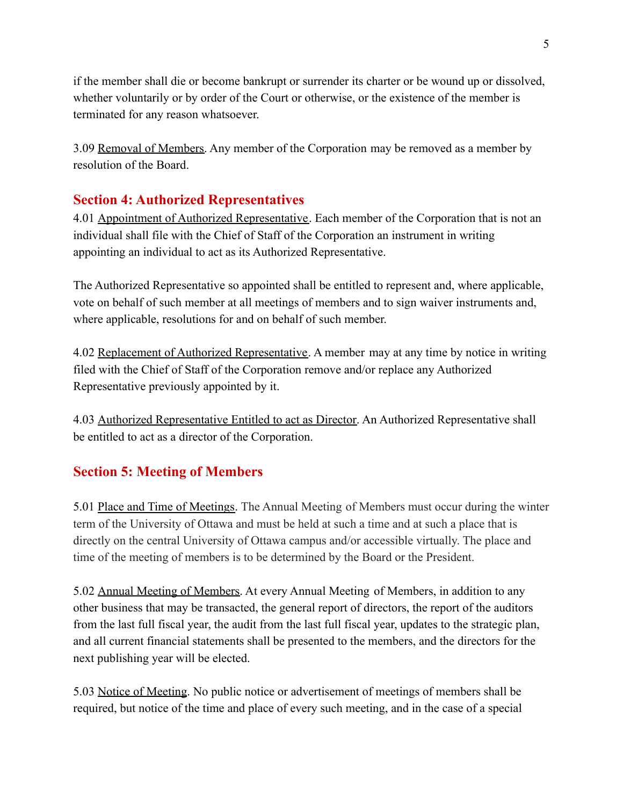if the member shall die or become bankrupt or surrender its charter or be wound up or dissolved, whether voluntarily or by order of the Court or otherwise, or the existence of the member is terminated for any reason whatsoever.

3.09 Removal of Members. Any member of the Corporation may be removed as a member by resolution of the Board.

### **Section 4: Authorized Representatives**

4.01 Appointment of Authorized Representative. Each member of the Corporation that is not an individual shall file with the Chief of Staff of the Corporation an instrument in writing appointing an individual to act as its Authorized Representative.

The Authorized Representative so appointed shall be entitled to represent and, where applicable, vote on behalf of such member at all meetings of members and to sign waiver instruments and, where applicable, resolutions for and on behalf of such member.

4.02 Replacement of Authorized Representative. A member may at any time by notice in writing filed with the Chief of Staff of the Corporation remove and/or replace any Authorized Representative previously appointed by it.

4.03 Authorized Representative Entitled to act as Director. An Authorized Representative shall be entitled to act as a director of the Corporation.

# **Section 5: Meeting of Members**

5.01 Place and Time of Meetings. The Annual Meeting of Members must occur during the winter term of the University of Ottawa and must be held at such a time and at such a place that is directly on the central University of Ottawa campus and/or accessible virtually. The place and time of the meeting of members is to be determined by the Board or the President.

5.02 Annual Meeting of Members. At every Annual Meeting of Members, in addition to any other business that may be transacted, the general report of directors, the report of the auditors from the last full fiscal year, the audit from the last full fiscal year, updates to the strategic plan, and all current financial statements shall be presented to the members, and the directors for the next publishing year will be elected.

5.03 Notice of Meeting. No public notice or advertisement of meetings of members shall be required, but notice of the time and place of every such meeting, and in the case of a special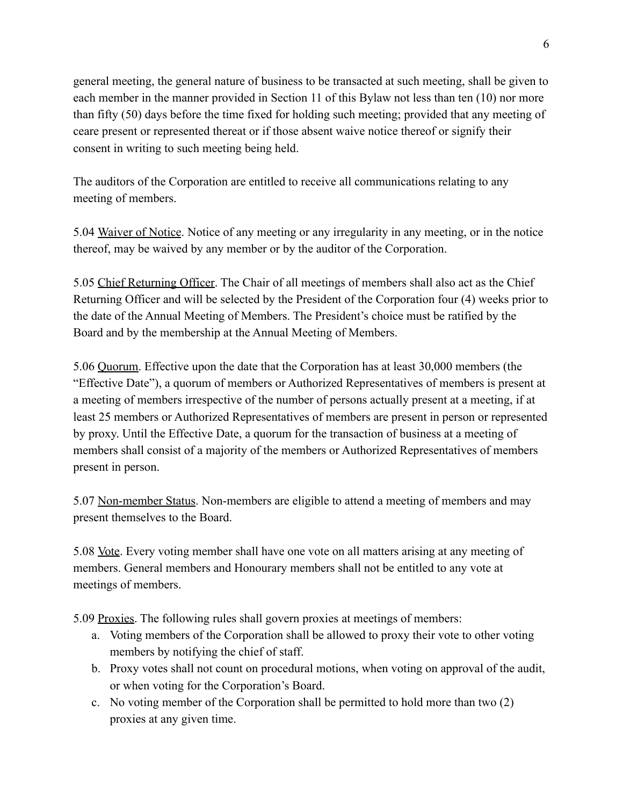general meeting, the general nature of business to be transacted at such meeting, shall be given to each member in the manner provided in Section 11 of this Bylaw not less than ten (10) nor more than fifty (50) days before the time fixed for holding such meeting; provided that any meeting of ceare present or represented thereat or if those absent waive notice thereof or signify their consent in writing to such meeting being held.

The auditors of the Corporation are entitled to receive all communications relating to any meeting of members.

5.04 Waiver of Notice. Notice of any meeting or any irregularity in any meeting, or in the notice thereof, may be waived by any member or by the auditor of the Corporation.

5.05 Chief Returning Officer. The Chair of all meetings of members shall also act as the Chief Returning Officer and will be selected by the President of the Corporation four (4) weeks prior to the date of the Annual Meeting of Members. The President's choice must be ratified by the Board and by the membership at the Annual Meeting of Members.

5.06 Quorum. Effective upon the date that the Corporation has at least 30,000 members (the "Effective Date"), a quorum of members or Authorized Representatives of members is present at a meeting of members irrespective of the number of persons actually present at a meeting, if at least 25 members or Authorized Representatives of members are present in person or represented by proxy. Until the Effective Date, a quorum for the transaction of business at a meeting of members shall consist of a majority of the members or Authorized Representatives of members present in person.

5.07 Non-member Status. Non-members are eligible to attend a meeting of members and may present themselves to the Board.

5.08 Vote. Every voting member shall have one vote on all matters arising at any meeting of members. General members and Honourary members shall not be entitled to any vote at meetings of members.

5.09 Proxies. The following rules shall govern proxies at meetings of members:

- a. Voting members of the Corporation shall be allowed to proxy their vote to other voting members by notifying the chief of staff.
- b. Proxy votes shall not count on procedural motions, when voting on approval of the audit, or when voting for the Corporation's Board.
- c. No voting member of the Corporation shall be permitted to hold more than two (2) proxies at any given time.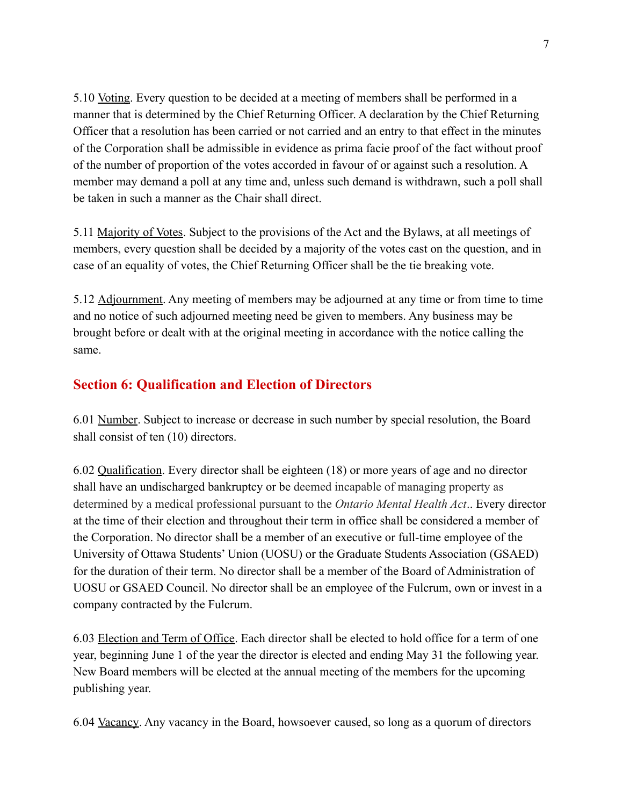5.10 Voting. Every question to be decided at a meeting of members shall be performed in a manner that is determined by the Chief Returning Officer. A declaration by the Chief Returning Officer that a resolution has been carried or not carried and an entry to that effect in the minutes of the Corporation shall be admissible in evidence as prima facie proof of the fact without proof of the number of proportion of the votes accorded in favour of or against such a resolution. A member may demand a poll at any time and, unless such demand is withdrawn, such a poll shall be taken in such a manner as the Chair shall direct.

5.11 Majority of Votes. Subject to the provisions of the Act and the Bylaws, at all meetings of members, every question shall be decided by a majority of the votes cast on the question, and in case of an equality of votes, the Chief Returning Officer shall be the tie breaking vote.

5.12 Adjournment. Any meeting of members may be adjourned at any time or from time to time and no notice of such adjourned meeting need be given to members. Any business may be brought before or dealt with at the original meeting in accordance with the notice calling the same.

### **Section 6: Qualification and Election of Directors**

6.01 Number. Subject to increase or decrease in such number by special resolution, the Board shall consist of ten (10) directors.

6.02 Qualification. Every director shall be eighteen (18) or more years of age and no director shall have an undischarged bankruptcy or be deemed incapable of managing property as determined by a medical professional pursuant to the *Ontario Mental Health Act*.. Every director at the time of their election and throughout their term in office shall be considered a member of the Corporation. No director shall be a member of an executive or full-time employee of the University of Ottawa Students' Union (UOSU) or the Graduate Students Association (GSAED) for the duration of their term. No director shall be a member of the Board of Administration of UOSU or GSAED Council. No director shall be an employee of the Fulcrum, own or invest in a company contracted by the Fulcrum.

6.03 Election and Term of Office. Each director shall be elected to hold office for a term of one year, beginning June 1 of the year the director is elected and ending May 31 the following year. New Board members will be elected at the annual meeting of the members for the upcoming publishing year.

6.04 Vacancy. Any vacancy in the Board, howsoever caused, so long as a quorum of directors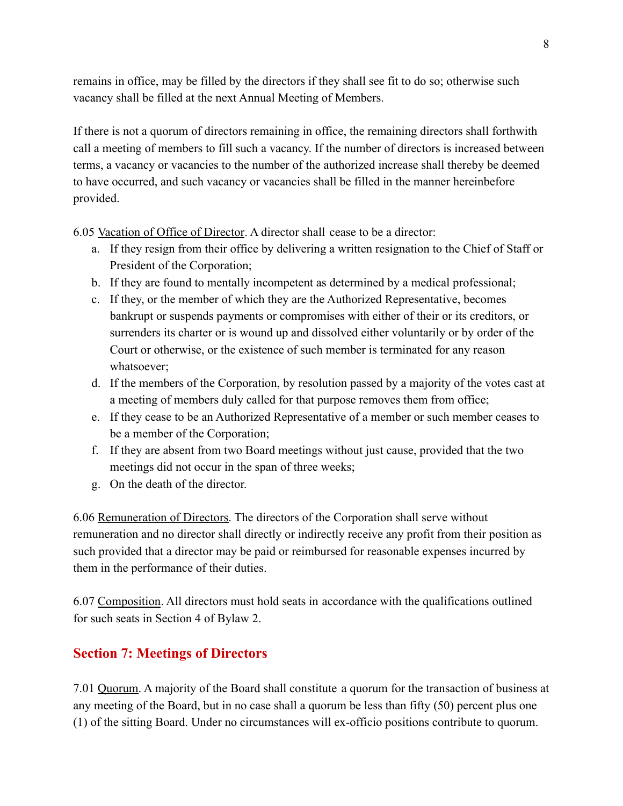remains in office, may be filled by the directors if they shall see fit to do so; otherwise such vacancy shall be filled at the next Annual Meeting of Members.

If there is not a quorum of directors remaining in office, the remaining directors shall forthwith call a meeting of members to fill such a vacancy. If the number of directors is increased between terms, a vacancy or vacancies to the number of the authorized increase shall thereby be deemed to have occurred, and such vacancy or vacancies shall be filled in the manner hereinbefore provided.

6.05 Vacation of Office of Director. A director shall cease to be a director:

- a. If they resign from their office by delivering a written resignation to the Chief of Staff or President of the Corporation;
- b. If they are found to mentally incompetent as determined by a medical professional;
- c. If they, or the member of which they are the Authorized Representative, becomes bankrupt or suspends payments or compromises with either of their or its creditors, or surrenders its charter or is wound up and dissolved either voluntarily or by order of the Court or otherwise, or the existence of such member is terminated for any reason whatsoever;
- d. If the members of the Corporation, by resolution passed by a majority of the votes cast at a meeting of members duly called for that purpose removes them from office;
- e. If they cease to be an Authorized Representative of a member or such member ceases to be a member of the Corporation;
- f. If they are absent from two Board meetings without just cause, provided that the two meetings did not occur in the span of three weeks;
- g. On the death of the director.

6.06 Remuneration of Directors. The directors of the Corporation shall serve without remuneration and no director shall directly or indirectly receive any profit from their position as such provided that a director may be paid or reimbursed for reasonable expenses incurred by them in the performance of their duties.

6.07 Composition. All directors must hold seats in accordance with the qualifications outlined for such seats in Section 4 of Bylaw 2.

# **Section 7: Meetings of Directors**

7.01 Quorum. A majority of the Board shall constitute a quorum for the transaction of business at any meeting of the Board, but in no case shall a quorum be less than fifty (50) percent plus one (1) of the sitting Board. Under no circumstances will ex-officio positions contribute to quorum.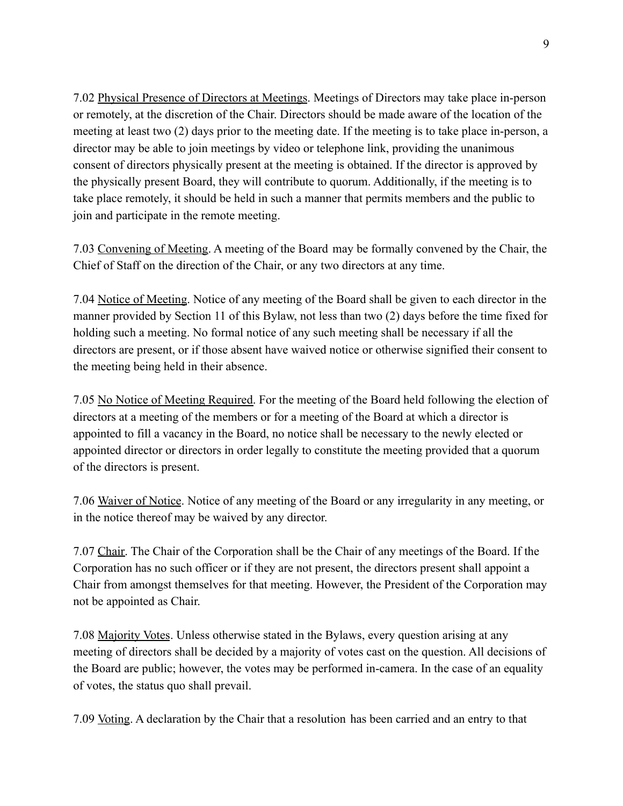7.02 Physical Presence of Directors at Meetings. Meetings of Directors may take place in-person or remotely, at the discretion of the Chair. Directors should be made aware of the location of the meeting at least two (2) days prior to the meeting date. If the meeting is to take place in-person, a director may be able to join meetings by video or telephone link, providing the unanimous consent of directors physically present at the meeting is obtained. If the director is approved by the physically present Board, they will contribute to quorum. Additionally, if the meeting is to take place remotely, it should be held in such a manner that permits members and the public to join and participate in the remote meeting.

7.03 Convening of Meeting. A meeting of the Board may be formally convened by the Chair, the Chief of Staff on the direction of the Chair, or any two directors at any time.

7.04 Notice of Meeting. Notice of any meeting of the Board shall be given to each director in the manner provided by Section 11 of this Bylaw, not less than two (2) days before the time fixed for holding such a meeting. No formal notice of any such meeting shall be necessary if all the directors are present, or if those absent have waived notice or otherwise signified their consent to the meeting being held in their absence.

7.05 No Notice of Meeting Required. For the meeting of the Board held following the election of directors at a meeting of the members or for a meeting of the Board at which a director is appointed to fill a vacancy in the Board, no notice shall be necessary to the newly elected or appointed director or directors in order legally to constitute the meeting provided that a quorum of the directors is present.

7.06 Waiver of Notice. Notice of any meeting of the Board or any irregularity in any meeting, or in the notice thereof may be waived by any director.

7.07 Chair. The Chair of the Corporation shall be the Chair of any meetings of the Board. If the Corporation has no such officer or if they are not present, the directors present shall appoint a Chair from amongst themselves for that meeting. However, the President of the Corporation may not be appointed as Chair.

7.08 Majority Votes. Unless otherwise stated in the Bylaws, every question arising at any meeting of directors shall be decided by a majority of votes cast on the question. All decisions of the Board are public; however, the votes may be performed in-camera. In the case of an equality of votes, the status quo shall prevail.

7.09 Voting. A declaration by the Chair that a resolution has been carried and an entry to that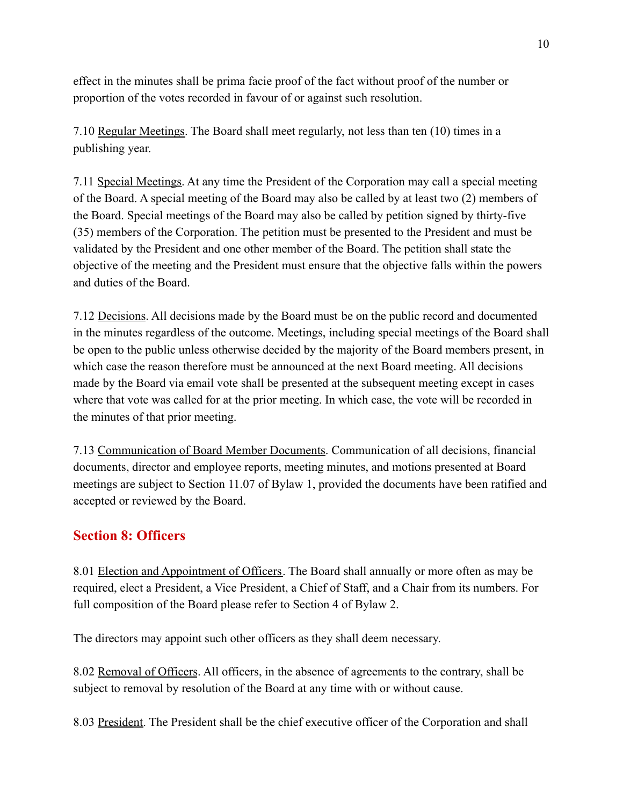effect in the minutes shall be prima facie proof of the fact without proof of the number or proportion of the votes recorded in favour of or against such resolution.

7.10 Regular Meetings. The Board shall meet regularly, not less than ten (10) times in a publishing year.

7.11 Special Meetings. At any time the President of the Corporation may call a special meeting of the Board. A special meeting of the Board may also be called by at least two (2) members of the Board. Special meetings of the Board may also be called by petition signed by thirty-five (35) members of the Corporation. The petition must be presented to the President and must be validated by the President and one other member of the Board. The petition shall state the objective of the meeting and the President must ensure that the objective falls within the powers and duties of the Board.

7.12 Decisions. All decisions made by the Board must be on the public record and documented in the minutes regardless of the outcome. Meetings, including special meetings of the Board shall be open to the public unless otherwise decided by the majority of the Board members present, in which case the reason therefore must be announced at the next Board meeting. All decisions made by the Board via email vote shall be presented at the subsequent meeting except in cases where that vote was called for at the prior meeting. In which case, the vote will be recorded in the minutes of that prior meeting.

7.13 Communication of Board Member Documents. Communication of all decisions, financial documents, director and employee reports, meeting minutes, and motions presented at Board meetings are subject to Section 11.07 of Bylaw 1, provided the documents have been ratified and accepted or reviewed by the Board.

### **Section 8: Officers**

8.01 Election and Appointment of Officers. The Board shall annually or more often as may be required, elect a President, a Vice President, a Chief of Staff, and a Chair from its numbers. For full composition of the Board please refer to Section 4 of Bylaw 2.

The directors may appoint such other officers as they shall deem necessary.

8.02 Removal of Officers. All officers, in the absence of agreements to the contrary, shall be subject to removal by resolution of the Board at any time with or without cause.

8.03 President. The President shall be the chief executive officer of the Corporation and shall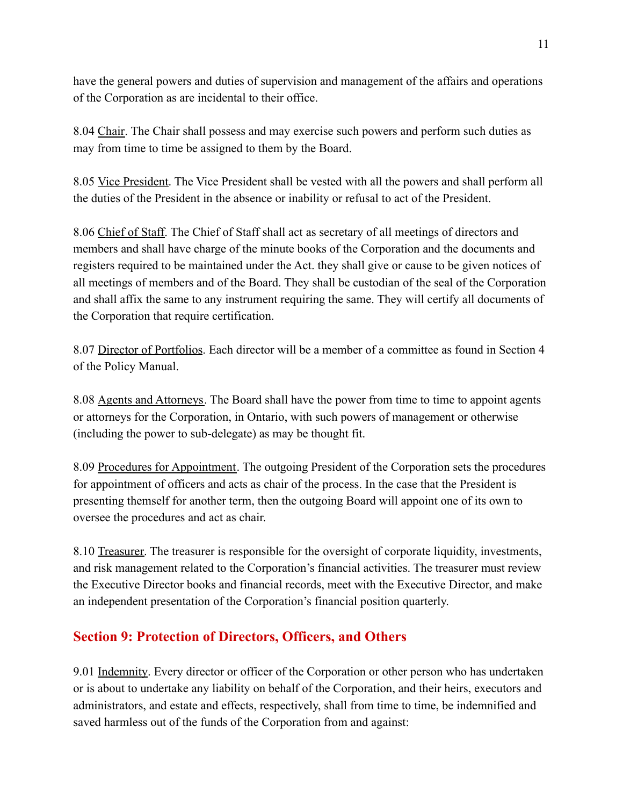have the general powers and duties of supervision and management of the affairs and operations of the Corporation as are incidental to their office.

8.04 Chair. The Chair shall possess and may exercise such powers and perform such duties as may from time to time be assigned to them by the Board.

8.05 Vice President. The Vice President shall be vested with all the powers and shall perform all the duties of the President in the absence or inability or refusal to act of the President.

8.06 Chief of Staff. The Chief of Staff shall act as secretary of all meetings of directors and members and shall have charge of the minute books of the Corporation and the documents and registers required to be maintained under the Act. they shall give or cause to be given notices of all meetings of members and of the Board. They shall be custodian of the seal of the Corporation and shall affix the same to any instrument requiring the same. They will certify all documents of the Corporation that require certification.

8.07 Director of Portfolios. Each director will be a member of a committee as found in Section 4 of the Policy Manual.

8.08 Agents and Attorneys. The Board shall have the power from time to time to appoint agents or attorneys for the Corporation, in Ontario, with such powers of management or otherwise (including the power to sub-delegate) as may be thought fit.

8.09 Procedures for Appointment. The outgoing President of the Corporation sets the procedures for appointment of officers and acts as chair of the process. In the case that the President is presenting themself for another term, then the outgoing Board will appoint one of its own to oversee the procedures and act as chair.

8.10 Treasurer. The treasurer is responsible for the oversight of corporate liquidity, investments, and risk management related to the Corporation's financial activities. The treasurer must review the Executive Director books and financial records, meet with the Executive Director, and make an independent presentation of the Corporation's financial position quarterly.

# **Section 9: Protection of Directors, Officers, and Others**

9.01 Indemnity. Every director or officer of the Corporation or other person who has undertaken or is about to undertake any liability on behalf of the Corporation, and their heirs, executors and administrators, and estate and effects, respectively, shall from time to time, be indemnified and saved harmless out of the funds of the Corporation from and against: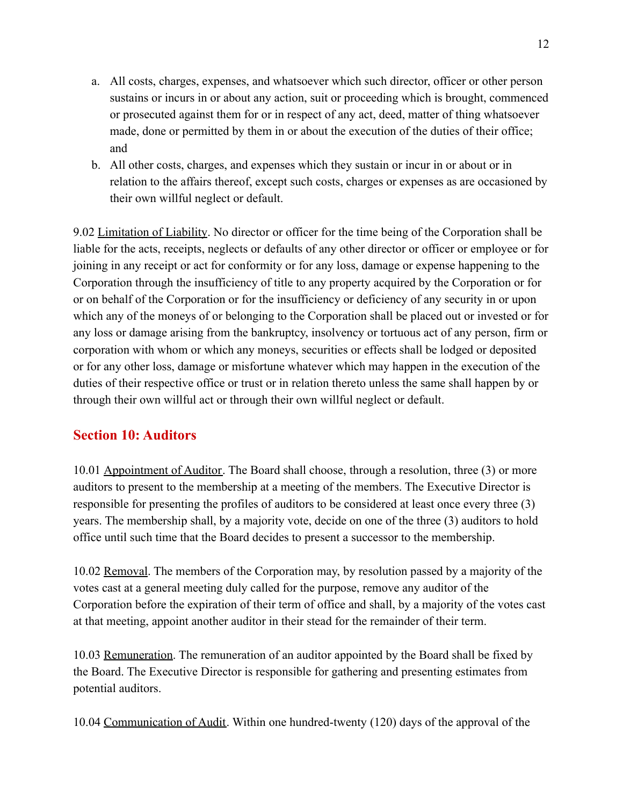- a. All costs, charges, expenses, and whatsoever which such director, officer or other person sustains or incurs in or about any action, suit or proceeding which is brought, commenced or prosecuted against them for or in respect of any act, deed, matter of thing whatsoever made, done or permitted by them in or about the execution of the duties of their office; and
- b. All other costs, charges, and expenses which they sustain or incur in or about or in relation to the affairs thereof, except such costs, charges or expenses as are occasioned by their own willful neglect or default.

9.02 Limitation of Liability. No director or officer for the time being of the Corporation shall be liable for the acts, receipts, neglects or defaults of any other director or officer or employee or for joining in any receipt or act for conformity or for any loss, damage or expense happening to the Corporation through the insufficiency of title to any property acquired by the Corporation or for or on behalf of the Corporation or for the insufficiency or deficiency of any security in or upon which any of the moneys of or belonging to the Corporation shall be placed out or invested or for any loss or damage arising from the bankruptcy, insolvency or tortuous act of any person, firm or corporation with whom or which any moneys, securities or effects shall be lodged or deposited or for any other loss, damage or misfortune whatever which may happen in the execution of the duties of their respective office or trust or in relation thereto unless the same shall happen by or through their own willful act or through their own willful neglect or default.

### **Section 10: Auditors**

10.01 Appointment of Auditor. The Board shall choose, through a resolution, three (3) or more auditors to present to the membership at a meeting of the members. The Executive Director is responsible for presenting the profiles of auditors to be considered at least once every three (3) years. The membership shall, by a majority vote, decide on one of the three (3) auditors to hold office until such time that the Board decides to present a successor to the membership.

10.02 Removal. The members of the Corporation may, by resolution passed by a majority of the votes cast at a general meeting duly called for the purpose, remove any auditor of the Corporation before the expiration of their term of office and shall, by a majority of the votes cast at that meeting, appoint another auditor in their stead for the remainder of their term.

10.03 Remuneration. The remuneration of an auditor appointed by the Board shall be fixed by the Board. The Executive Director is responsible for gathering and presenting estimates from potential auditors.

10.04 Communication of Audit. Within one hundred-twenty (120) days of the approval of the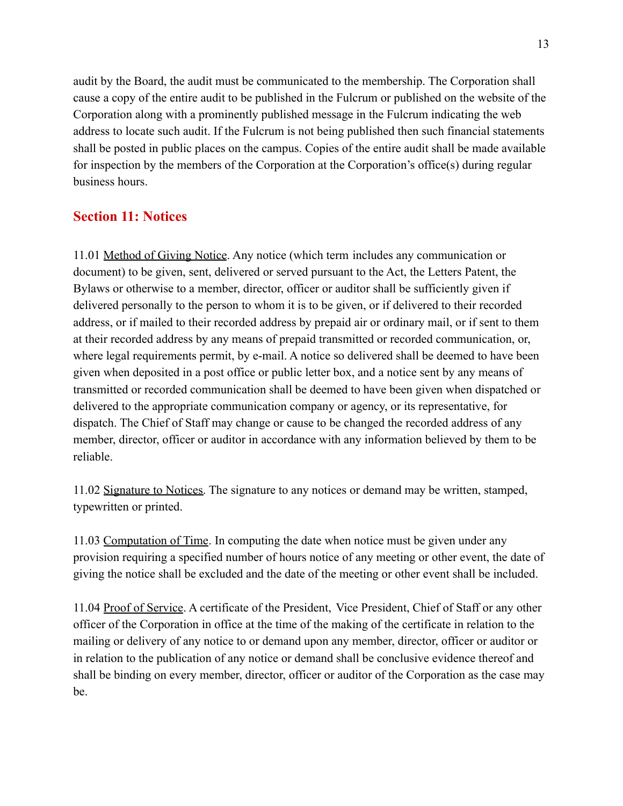audit by the Board, the audit must be communicated to the membership. The Corporation shall cause a copy of the entire audit to be published in the Fulcrum or published on the website of the Corporation along with a prominently published message in the Fulcrum indicating the web address to locate such audit. If the Fulcrum is not being published then such financial statements shall be posted in public places on the campus. Copies of the entire audit shall be made available for inspection by the members of the Corporation at the Corporation's office(s) during regular business hours.

# **Section 11: Notices**

11.01 Method of Giving Notice. Any notice (which term includes any communication or document) to be given, sent, delivered or served pursuant to the Act, the Letters Patent, the Bylaws or otherwise to a member, director, officer or auditor shall be sufficiently given if delivered personally to the person to whom it is to be given, or if delivered to their recorded address, or if mailed to their recorded address by prepaid air or ordinary mail, or if sent to them at their recorded address by any means of prepaid transmitted or recorded communication, or, where legal requirements permit, by e-mail. A notice so delivered shall be deemed to have been given when deposited in a post office or public letter box, and a notice sent by any means of transmitted or recorded communication shall be deemed to have been given when dispatched or delivered to the appropriate communication company or agency, or its representative, for dispatch. The Chief of Staff may change or cause to be changed the recorded address of any member, director, officer or auditor in accordance with any information believed by them to be reliable.

11.02 Signature to Notices. The signature to any notices or demand may be written, stamped, typewritten or printed.

11.03 Computation of Time. In computing the date when notice must be given under any provision requiring a specified number of hours notice of any meeting or other event, the date of giving the notice shall be excluded and the date of the meeting or other event shall be included.

11.04 Proof of Service. A certificate of the President, Vice President, Chief of Staff or any other officer of the Corporation in office at the time of the making of the certificate in relation to the mailing or delivery of any notice to or demand upon any member, director, officer or auditor or in relation to the publication of any notice or demand shall be conclusive evidence thereof and shall be binding on every member, director, officer or auditor of the Corporation as the case may be.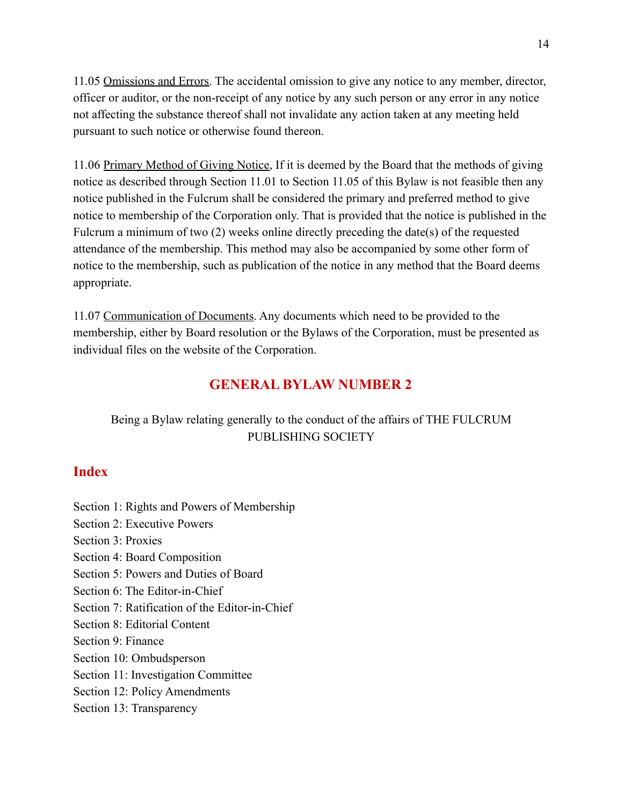11.05 Omissions and Errors. The accidental omission to give any notice to any member, director, officer or auditor, or the non-receipt of any notice by any such person or any error in any notice not affecting the substance thereof shall not invalidate any action taken at any meeting held pursuant to such notice or otherwise found thereon.

11.06 Primary Method of Giving Notice, If it is deemed by the Board that the methods of giving notice as described through Section 11.01 to Section 11.05 of this Bylaw is not feasible then any notice published in the Fulcrum shall be considered the primary and preferred method to give notice to membership of the Corporation only. That is provided that the notice is published in the Fulcrum a minimum of two (2) weeks online directly preceding the date(s) of the requested attendance of the membership. This method may also be accompanied by some other form of notice to the membership, such as publication of the notice in any method that the Board deems appropriate.

11.07 Communication of Documents. Any documents which need to be provided to the membership, either by Board resolution or the Bylaws of the Corporation, must be presented as individual files on the website of the Corporation.

# **GENERAL BYLAW NUMBER 2**

Being a Bylaw relating generally to the conduct of the affairs of THE FULCRUM PUBLISHING SOCIETY

#### **Index**

- Section 1: Rights and Powers of Membership
- Section 2: Executive Powers
- Section 3: Proxies
- Section 4: Board Composition
- Section 5: Powers and Duties of Board
- Section 6: The Editor-in-Chief
- Section 7: Ratification of the Editor-in-Chief
- Section 8: Editorial Content
- Section 9: Finance
- Section 10: Ombudsperson
- Section 11: Investigation Committee
- Section 12: Policy Amendments
- Section 13: Transparency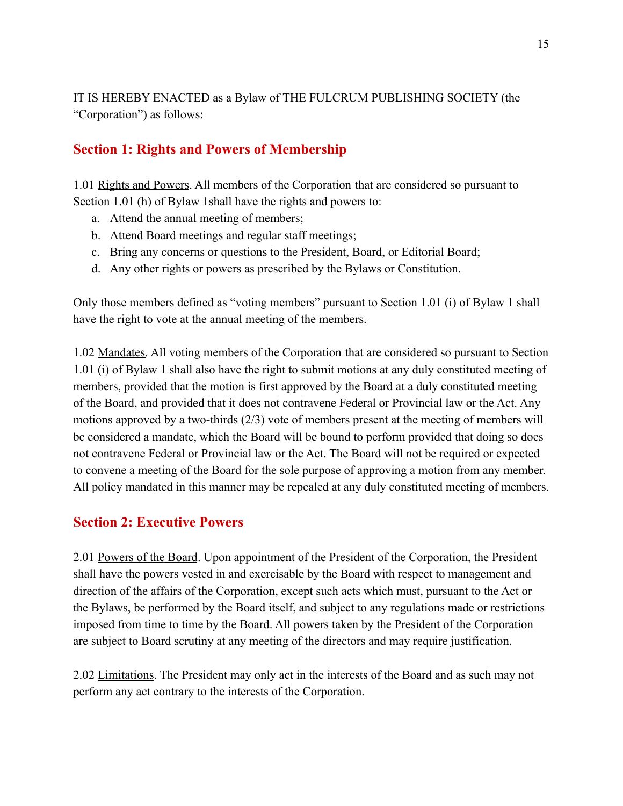IT IS HEREBY ENACTED as a Bylaw of THE FULCRUM PUBLISHING SOCIETY (the "Corporation") as follows:

### **Section 1: Rights and Powers of Membership**

1.01 Rights and Powers. All members of the Corporation that are considered so pursuant to Section 1.01 (h) of Bylaw 1shall have the rights and powers to:

- a. Attend the annual meeting of members;
- b. Attend Board meetings and regular staff meetings;
- c. Bring any concerns or questions to the President, Board, or Editorial Board;
- d. Any other rights or powers as prescribed by the Bylaws or Constitution.

Only those members defined as "voting members" pursuant to Section 1.01 (i) of Bylaw 1 shall have the right to vote at the annual meeting of the members.

1.02 Mandates. All voting members of the Corporation that are considered so pursuant to Section 1.01 (i) of Bylaw 1 shall also have the right to submit motions at any duly constituted meeting of members, provided that the motion is first approved by the Board at a duly constituted meeting of the Board, and provided that it does not contravene Federal or Provincial law or the Act. Any motions approved by a two-thirds (2/3) vote of members present at the meeting of members will be considered a mandate, which the Board will be bound to perform provided that doing so does not contravene Federal or Provincial law or the Act. The Board will not be required or expected to convene a meeting of the Board for the sole purpose of approving a motion from any member. All policy mandated in this manner may be repealed at any duly constituted meeting of members.

#### **Section 2: Executive Powers**

2.01 Powers of the Board. Upon appointment of the President of the Corporation, the President shall have the powers vested in and exercisable by the Board with respect to management and direction of the affairs of the Corporation, except such acts which must, pursuant to the Act or the Bylaws, be performed by the Board itself, and subject to any regulations made or restrictions imposed from time to time by the Board. All powers taken by the President of the Corporation are subject to Board scrutiny at any meeting of the directors and may require justification.

2.02 Limitations. The President may only act in the interests of the Board and as such may not perform any act contrary to the interests of the Corporation.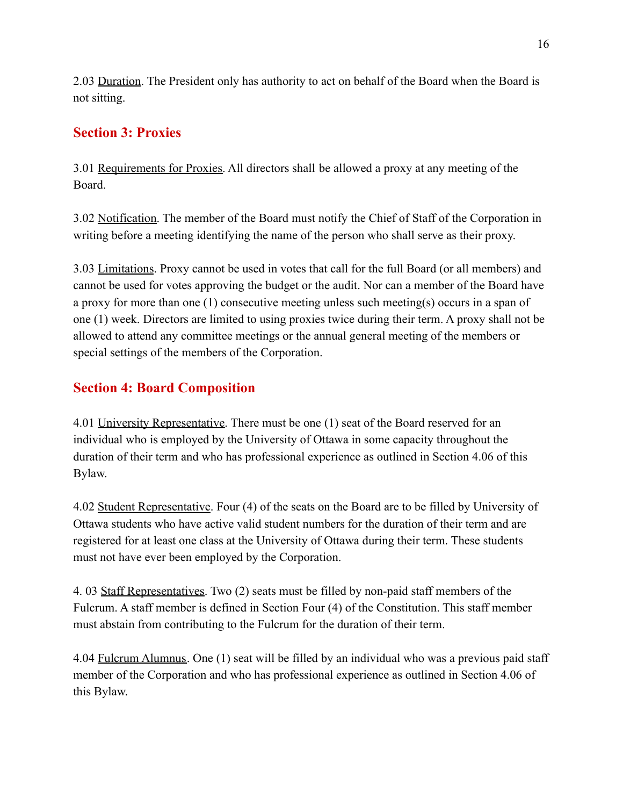2.03 Duration. The President only has authority to act on behalf of the Board when the Board is not sitting.

# **Section 3: Proxies**

3.01 Requirements for Proxies. All directors shall be allowed a proxy at any meeting of the Board.

3.02 Notification. The member of the Board must notify the Chief of Staff of the Corporation in writing before a meeting identifying the name of the person who shall serve as their proxy.

3.03 Limitations. Proxy cannot be used in votes that call for the full Board (or all members) and cannot be used for votes approving the budget or the audit. Nor can a member of the Board have a proxy for more than one (1) consecutive meeting unless such meeting(s) occurs in a span of one (1) week. Directors are limited to using proxies twice during their term. A proxy shall not be allowed to attend any committee meetings or the annual general meeting of the members or special settings of the members of the Corporation.

# **Section 4: Board Composition**

4.01 University Representative. There must be one (1) seat of the Board reserved for an individual who is employed by the University of Ottawa in some capacity throughout the duration of their term and who has professional experience as outlined in Section 4.06 of this Bylaw.

4.02 Student Representative. Four (4) of the seats on the Board are to be filled by University of Ottawa students who have active valid student numbers for the duration of their term and are registered for at least one class at the University of Ottawa during their term. These students must not have ever been employed by the Corporation.

4. 03 Staff Representatives. Two (2) seats must be filled by non-paid staff members of the Fulcrum. A staff member is defined in Section Four (4) of the Constitution. This staff member must abstain from contributing to the Fulcrum for the duration of their term.

4.04 Fulcrum Alumnus. One (1) seat will be filled by an individual who was a previous paid staff member of the Corporation and who has professional experience as outlined in Section 4.06 of this Bylaw.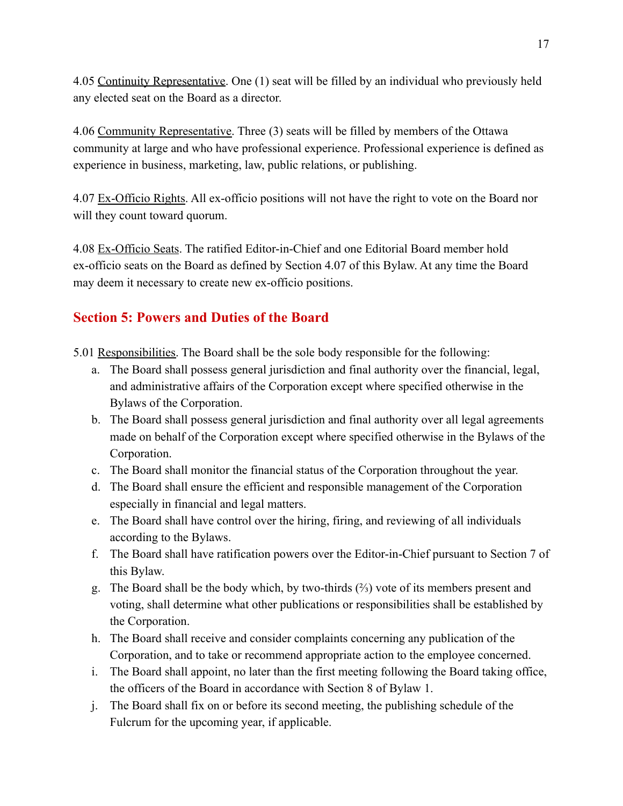4.05 Continuity Representative. One (1) seat will be filled by an individual who previously held any elected seat on the Board as a director.

4.06 Community Representative. Three (3) seats will be filled by members of the Ottawa community at large and who have professional experience. Professional experience is defined as experience in business, marketing, law, public relations, or publishing.

4.07 Ex-Officio Rights. All ex-officio positions will not have the right to vote on the Board nor will they count toward quorum.

4.08 Ex-Officio Seats. The ratified Editor-in-Chief and one Editorial Board member hold ex-officio seats on the Board as defined by Section 4.07 of this Bylaw. At any time the Board may deem it necessary to create new ex-officio positions.

# **Section 5: Powers and Duties of the Board**

- 5.01 Responsibilities. The Board shall be the sole body responsible for the following:
	- a. The Board shall possess general jurisdiction and final authority over the financial, legal, and administrative affairs of the Corporation except where specified otherwise in the Bylaws of the Corporation.
	- b. The Board shall possess general jurisdiction and final authority over all legal agreements made on behalf of the Corporation except where specified otherwise in the Bylaws of the Corporation.
	- c. The Board shall monitor the financial status of the Corporation throughout the year.
	- d. The Board shall ensure the efficient and responsible management of the Corporation especially in financial and legal matters.
	- e. The Board shall have control over the hiring, firing, and reviewing of all individuals according to the Bylaws.
	- f. The Board shall have ratification powers over the Editor-in-Chief pursuant to Section 7 of this Bylaw.
	- g. The Board shall be the body which, by two-thirds (⅔) vote of its members present and voting, shall determine what other publications or responsibilities shall be established by the Corporation.
	- h. The Board shall receive and consider complaints concerning any publication of the Corporation, and to take or recommend appropriate action to the employee concerned.
	- i. The Board shall appoint, no later than the first meeting following the Board taking office, the officers of the Board in accordance with Section 8 of Bylaw 1.
	- j. The Board shall fix on or before its second meeting, the publishing schedule of the Fulcrum for the upcoming year, if applicable.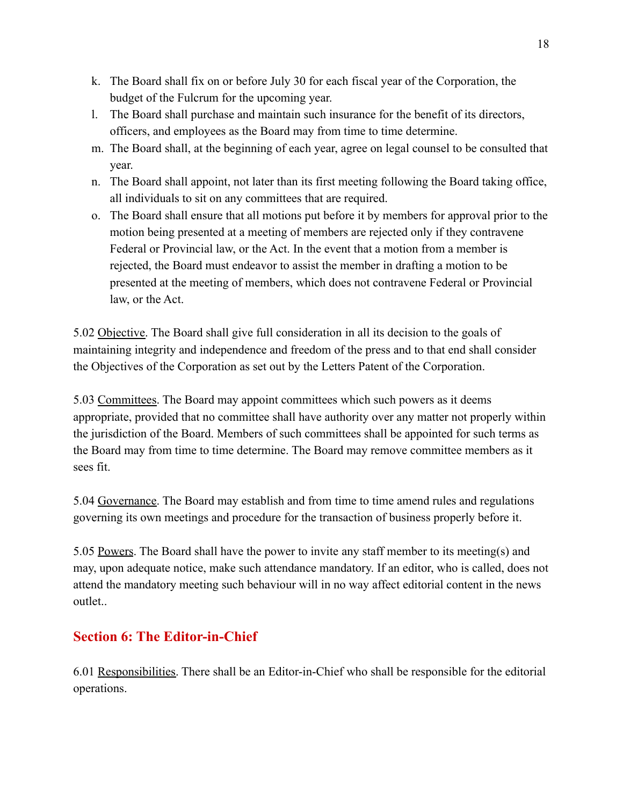- k. The Board shall fix on or before July 30 for each fiscal year of the Corporation, the budget of the Fulcrum for the upcoming year.
- l. The Board shall purchase and maintain such insurance for the benefit of its directors, officers, and employees as the Board may from time to time determine.
- m. The Board shall, at the beginning of each year, agree on legal counsel to be consulted that year.
- n. The Board shall appoint, not later than its first meeting following the Board taking office, all individuals to sit on any committees that are required.
- o. The Board shall ensure that all motions put before it by members for approval prior to the motion being presented at a meeting of members are rejected only if they contravene Federal or Provincial law, or the Act. In the event that a motion from a member is rejected, the Board must endeavor to assist the member in drafting a motion to be presented at the meeting of members, which does not contravene Federal or Provincial law, or the Act.

5.02 Objective. The Board shall give full consideration in all its decision to the goals of maintaining integrity and independence and freedom of the press and to that end shall consider the Objectives of the Corporation as set out by the Letters Patent of the Corporation.

5.03 Committees. The Board may appoint committees which such powers as it deems appropriate, provided that no committee shall have authority over any matter not properly within the jurisdiction of the Board. Members of such committees shall be appointed for such terms as the Board may from time to time determine. The Board may remove committee members as it sees fit.

5.04 Governance. The Board may establish and from time to time amend rules and regulations governing its own meetings and procedure for the transaction of business properly before it.

5.05 Powers. The Board shall have the power to invite any staff member to its meeting(s) and may, upon adequate notice, make such attendance mandatory. If an editor, who is called, does not attend the mandatory meeting such behaviour will in no way affect editorial content in the news outlet..

# **Section 6: The Editor-in-Chief**

6.01 Responsibilities. There shall be an Editor-in-Chief who shall be responsible for the editorial operations.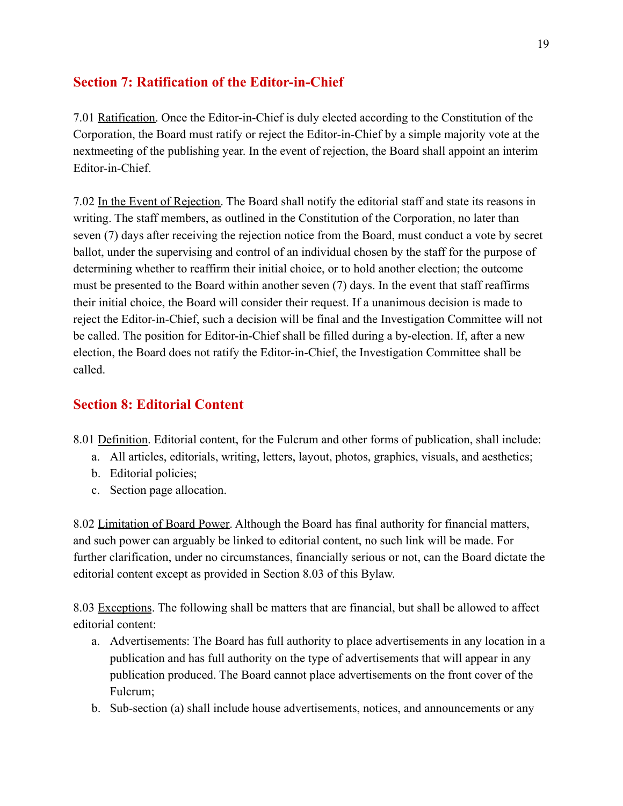# **Section 7: Ratification of the Editor-in-Chief**

7.01 Ratification. Once the Editor-in-Chief is duly elected according to the Constitution of the Corporation, the Board must ratify or reject the Editor-in-Chief by a simple majority vote at the nextmeeting of the publishing year. In the event of rejection, the Board shall appoint an interim Editor-in-Chief.

7.02 In the Event of Rejection. The Board shall notify the editorial staff and state its reasons in writing. The staff members, as outlined in the Constitution of the Corporation, no later than seven (7) days after receiving the rejection notice from the Board, must conduct a vote by secret ballot, under the supervising and control of an individual chosen by the staff for the purpose of determining whether to reaffirm their initial choice, or to hold another election; the outcome must be presented to the Board within another seven (7) days. In the event that staff reaffirms their initial choice, the Board will consider their request. If a unanimous decision is made to reject the Editor-in-Chief, such a decision will be final and the Investigation Committee will not be called. The position for Editor-in-Chief shall be filled during a by-election. If, after a new election, the Board does not ratify the Editor-in-Chief, the Investigation Committee shall be called.

# **Section 8: Editorial Content**

- 8.01 Definition. Editorial content, for the Fulcrum and other forms of publication, shall include:
	- a. All articles, editorials, writing, letters, layout, photos, graphics, visuals, and aesthetics;
	- b. Editorial policies;
	- c. Section page allocation.

8.02 Limitation of Board Power. Although the Board has final authority for financial matters, and such power can arguably be linked to editorial content, no such link will be made. For further clarification, under no circumstances, financially serious or not, can the Board dictate the editorial content except as provided in Section 8.03 of this Bylaw.

8.03 Exceptions. The following shall be matters that are financial, but shall be allowed to affect editorial content:

- a. Advertisements: The Board has full authority to place advertisements in any location in a publication and has full authority on the type of advertisements that will appear in any publication produced. The Board cannot place advertisements on the front cover of the Fulcrum;
- b. Sub-section (a) shall include house advertisements, notices, and announcements or any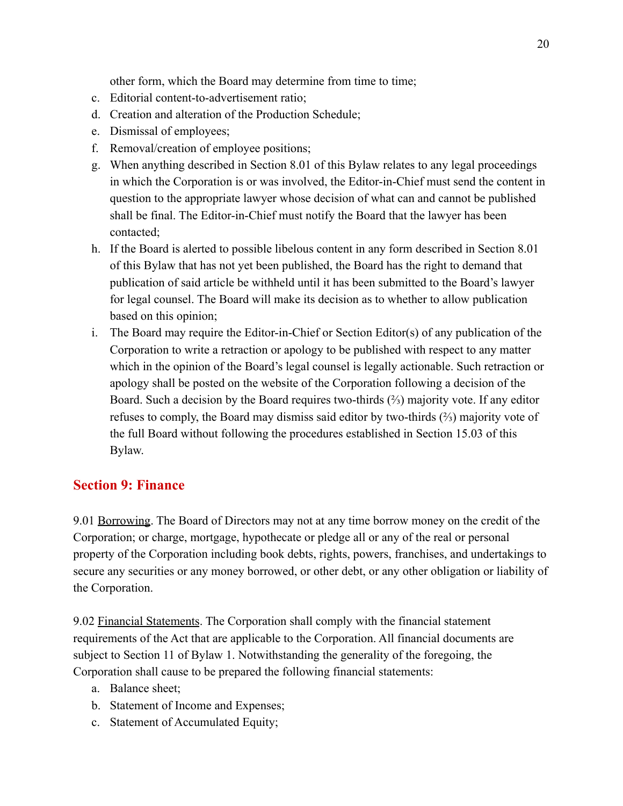other form, which the Board may determine from time to time;

- c. Editorial content-to-advertisement ratio;
- d. Creation and alteration of the Production Schedule;
- e. Dismissal of employees;
- f. Removal/creation of employee positions;
- g. When anything described in Section 8.01 of this Bylaw relates to any legal proceedings in which the Corporation is or was involved, the Editor-in-Chief must send the content in question to the appropriate lawyer whose decision of what can and cannot be published shall be final. The Editor-in-Chief must notify the Board that the lawyer has been contacted;
- h. If the Board is alerted to possible libelous content in any form described in Section 8.01 of this Bylaw that has not yet been published, the Board has the right to demand that publication of said article be withheld until it has been submitted to the Board's lawyer for legal counsel. The Board will make its decision as to whether to allow publication based on this opinion;
- i. The Board may require the Editor-in-Chief or Section Editor(s) of any publication of the Corporation to write a retraction or apology to be published with respect to any matter which in the opinion of the Board's legal counsel is legally actionable. Such retraction or apology shall be posted on the website of the Corporation following a decision of the Board. Such a decision by the Board requires two-thirds  $(\frac{2}{3})$  majority vote. If any editor refuses to comply, the Board may dismiss said editor by two-thirds (⅔) majority vote of the full Board without following the procedures established in Section 15.03 of this Bylaw.

### **Section 9: Finance**

9.01 Borrowing. The Board of Directors may not at any time borrow money on the credit of the Corporation; or charge, mortgage, hypothecate or pledge all or any of the real or personal property of the Corporation including book debts, rights, powers, franchises, and undertakings to secure any securities or any money borrowed, or other debt, or any other obligation or liability of the Corporation.

9.02 Financial Statements. The Corporation shall comply with the financial statement requirements of the Act that are applicable to the Corporation. All financial documents are subject to Section 11 of Bylaw 1. Notwithstanding the generality of the foregoing, the Corporation shall cause to be prepared the following financial statements:

- a. Balance sheet;
- b. Statement of Income and Expenses;
- c. Statement of Accumulated Equity;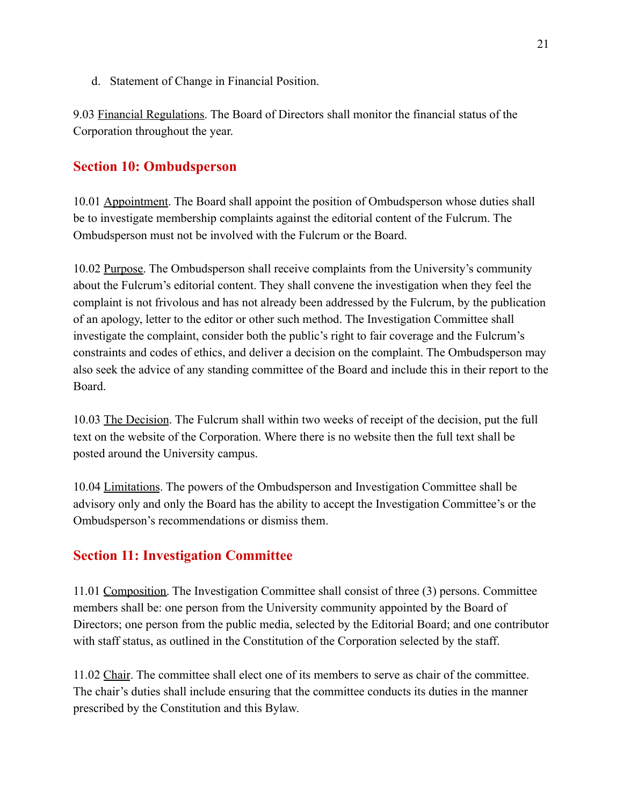d. Statement of Change in Financial Position.

9.03 Financial Regulations. The Board of Directors shall monitor the financial status of the Corporation throughout the year.

#### **Section 10: Ombudsperson**

10.01 Appointment. The Board shall appoint the position of Ombudsperson whose duties shall be to investigate membership complaints against the editorial content of the Fulcrum. The Ombudsperson must not be involved with the Fulcrum or the Board.

10.02 Purpose. The Ombudsperson shall receive complaints from the University's community about the Fulcrum's editorial content. They shall convene the investigation when they feel the complaint is not frivolous and has not already been addressed by the Fulcrum, by the publication of an apology, letter to the editor or other such method. The Investigation Committee shall investigate the complaint, consider both the public's right to fair coverage and the Fulcrum's constraints and codes of ethics, and deliver a decision on the complaint. The Ombudsperson may also seek the advice of any standing committee of the Board and include this in their report to the Board.

10.03 The Decision. The Fulcrum shall within two weeks of receipt of the decision, put the full text on the website of the Corporation. Where there is no website then the full text shall be posted around the University campus.

10.04 Limitations. The powers of the Ombudsperson and Investigation Committee shall be advisory only and only the Board has the ability to accept the Investigation Committee's or the Ombudsperson's recommendations or dismiss them.

# **Section 11: Investigation Committee**

11.01 Composition. The Investigation Committee shall consist of three (3) persons. Committee members shall be: one person from the University community appointed by the Board of Directors; one person from the public media, selected by the Editorial Board; and one contributor with staff status, as outlined in the Constitution of the Corporation selected by the staff.

11.02 Chair. The committee shall elect one of its members to serve as chair of the committee. The chair's duties shall include ensuring that the committee conducts its duties in the manner prescribed by the Constitution and this Bylaw.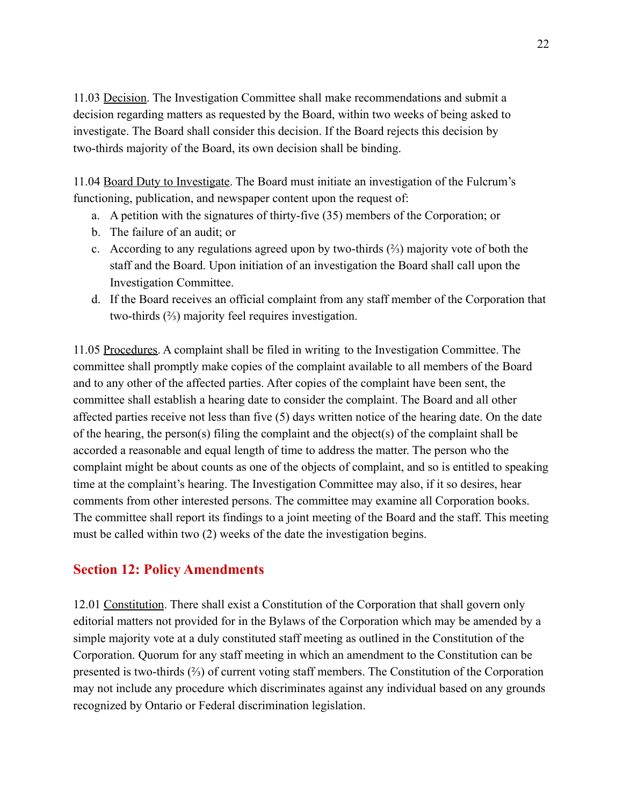11.03 Decision. The Investigation Committee shall make recommendations and submit a decision regarding matters as requested by the Board, within two weeks of being asked to investigate. The Board shall consider this decision. If the Board rejects this decision by two-thirds majority of the Board, its own decision shall be binding.

11.04 Board Duty to Investigate. The Board must initiate an investigation of the Fulcrum's functioning, publication, and newspaper content upon the request of:

- a. A petition with the signatures of thirty-five (35) members of the Corporation; or
- b. The failure of an audit; or
- c. According to any regulations agreed upon by two-thirds (⅔) majority vote of both the staff and the Board. Upon initiation of an investigation the Board shall call upon the Investigation Committee.
- d. If the Board receives an official complaint from any staff member of the Corporation that two-thirds (⅔) majority feel requires investigation.

11.05 Procedures. A complaint shall be filed in writing to the Investigation Committee. The committee shall promptly make copies of the complaint available to all members of the Board and to any other of the affected parties. After copies of the complaint have been sent, the committee shall establish a hearing date to consider the complaint. The Board and all other affected parties receive not less than five (5) days written notice of the hearing date. On the date of the hearing, the person(s) filing the complaint and the object(s) of the complaint shall be accorded a reasonable and equal length of time to address the matter. The person who the complaint might be about counts as one of the objects of complaint, and so is entitled to speaking time at the complaint's hearing. The Investigation Committee may also, if it so desires, hear comments from other interested persons. The committee may examine all Corporation books. The committee shall report its findings to a joint meeting of the Board and the staff. This meeting must be called within two (2) weeks of the date the investigation begins.

#### **Section 12: Policy Amendments**

12.01 Constitution. There shall exist a Constitution of the Corporation that shall govern only editorial matters not provided for in the Bylaws of the Corporation which may be amended by a simple majority vote at a duly constituted staff meeting as outlined in the Constitution of the Corporation. Quorum for any staff meeting in which an amendment to the Constitution can be presented is two-thirds (⅔) of current voting staff members. The Constitution of the Corporation may not include any procedure which discriminates against any individual based on any grounds recognized by Ontario or Federal discrimination legislation.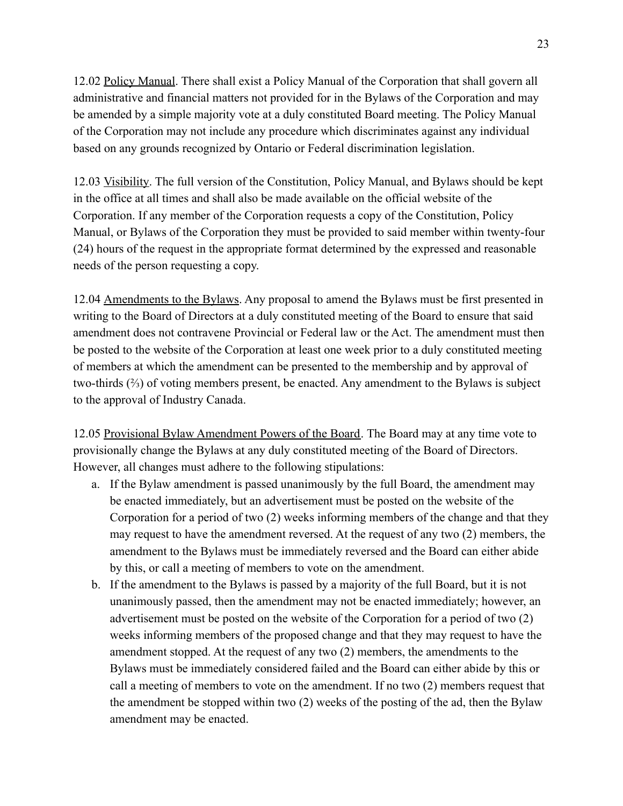12.02 Policy Manual. There shall exist a Policy Manual of the Corporation that shall govern all administrative and financial matters not provided for in the Bylaws of the Corporation and may be amended by a simple majority vote at a duly constituted Board meeting. The Policy Manual of the Corporation may not include any procedure which discriminates against any individual based on any grounds recognized by Ontario or Federal discrimination legislation.

12.03 Visibility. The full version of the Constitution, Policy Manual, and Bylaws should be kept in the office at all times and shall also be made available on the official website of the Corporation. If any member of the Corporation requests a copy of the Constitution, Policy Manual, or Bylaws of the Corporation they must be provided to said member within twenty-four (24) hours of the request in the appropriate format determined by the expressed and reasonable needs of the person requesting a copy.

12.04 Amendments to the Bylaws. Any proposal to amend the Bylaws must be first presented in writing to the Board of Directors at a duly constituted meeting of the Board to ensure that said amendment does not contravene Provincial or Federal law or the Act. The amendment must then be posted to the website of the Corporation at least one week prior to a duly constituted meeting of members at which the amendment can be presented to the membership and by approval of two-thirds (⅔) of voting members present, be enacted. Any amendment to the Bylaws is subject to the approval of Industry Canada.

12.05 Provisional Bylaw Amendment Powers of the Board. The Board may at any time vote to provisionally change the Bylaws at any duly constituted meeting of the Board of Directors. However, all changes must adhere to the following stipulations:

- a. If the Bylaw amendment is passed unanimously by the full Board, the amendment may be enacted immediately, but an advertisement must be posted on the website of the Corporation for a period of two (2) weeks informing members of the change and that they may request to have the amendment reversed. At the request of any two (2) members, the amendment to the Bylaws must be immediately reversed and the Board can either abide by this, or call a meeting of members to vote on the amendment.
- b. If the amendment to the Bylaws is passed by a majority of the full Board, but it is not unanimously passed, then the amendment may not be enacted immediately; however, an advertisement must be posted on the website of the Corporation for a period of two (2) weeks informing members of the proposed change and that they may request to have the amendment stopped. At the request of any two (2) members, the amendments to the Bylaws must be immediately considered failed and the Board can either abide by this or call a meeting of members to vote on the amendment. If no two (2) members request that the amendment be stopped within two (2) weeks of the posting of the ad, then the Bylaw amendment may be enacted.